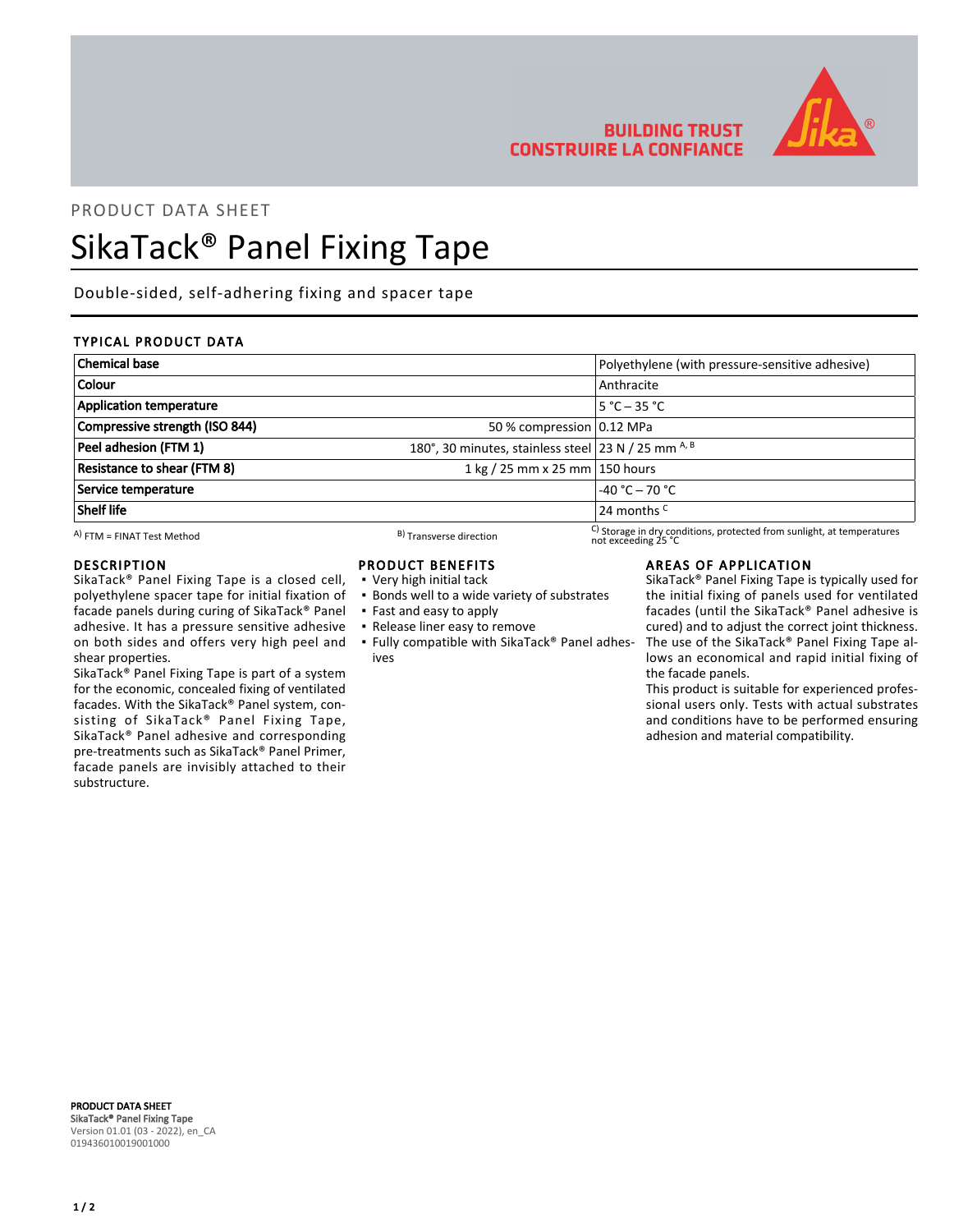

# **BUILDING TRUST CONSTRUIRE LA CONFIANCE**

not exceeding 25 °C

# PRODUCT DATA SHEET

# SikaTack® Panel Fixing Tape

Double-sided, self-adhering fixing and spacer tape

## TYPICAL PRODUCT DATA

| <b>Chemical base</b>           |                                                     | Polyethylene (with pressure-sensitive adhesive)                        |
|--------------------------------|-----------------------------------------------------|------------------------------------------------------------------------|
| Colour                         |                                                     | Anthracite                                                             |
| <b>Application temperature</b> |                                                     | $5 °C - 35 °C$                                                         |
| Compressive strength (ISO 844) | 50 % compression 0.12 MPa                           |                                                                        |
| Peel adhesion (FTM 1)          | 180°, 30 minutes, stainless steel 23 N / 25 mm A, B |                                                                        |
| Resistance to shear (FTM 8)    | 1 kg / 25 mm x 25 mm 150 hours                      |                                                                        |
| Service temperature            |                                                     | $-40 °C - 70 °C$                                                       |
| Shelf life                     |                                                     | 24 months <sup>C</sup>                                                 |
| A) FTM = FINAT Test Method     | B) Transverse direction                             | C) Storage in dry conditions, protected from sunlight, at temperatures |

A) FTM = FINAT Test Method  $\overline{B}$  Transverse direction

#### DESCRIPTION

SikaTack® Panel Fixing Tape is a closed cell, polyethylene spacer tape for initial fixation of facade panels during curing of SikaTack® Panel adhesive. It has a pressure sensitive adhesive on both sides and offers very high peel and shear properties.

SikaTack® Panel Fixing Tape is part of a system for the economic, concealed fixing of ventilated facades. With the SikaTack® Panel system, consisting of SikaTack® Panel Fixing Tape, SikaTack® Panel adhesive and corresponding pre-treatments such as SikaTack® Panel Primer, facade panels are invisibly attached to their substructure.

- PRODUCT BENEFITS
- Very high initial tack
- **.** Bonds well to a wide variety of substrates
- Fast and easy to apply
- Release liner easy to remove
- Fully compatible with SikaTack® Panel adhes-▪ ives

#### AREAS OF APPLICATION

SikaTack® Panel Fixing Tape is typically used for the initial fixing of panels used for ventilated facades (until the SikaTack® Panel adhesive is cured) and to adjust the correct joint thickness. The use of the SikaTack® Panel Fixing Tape allows an economical and rapid initial fixing of the facade panels.

This product is suitable for experienced professional users only. Tests with actual substrates and conditions have to be performed ensuring adhesion and material compatibility.

PRODUCT DATA SHEET SikaTack® Panel Fixing Tape Version 01.01 (03 - 2022), en\_CA 019436010019001000